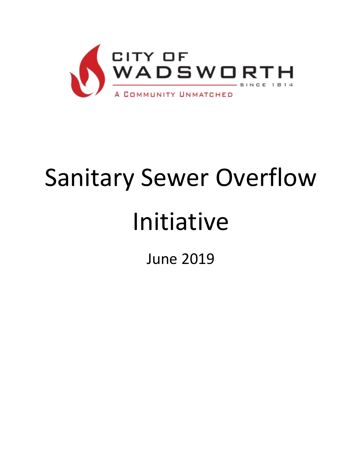

# Sanitary Sewer Overflow

## Initiative

June 2019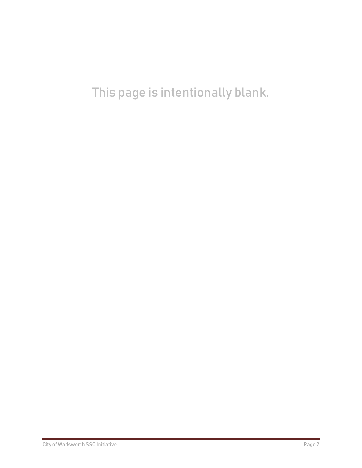This page is intentionally blank.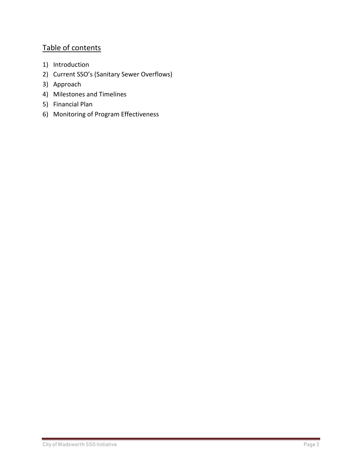### Table of contents

- 1) Introduction
- 2) Current SSO's (Sanitary Sewer Overflows)
- 3) Approach
- 4) Milestones and Timelines
- 5) Financial Plan
- 6) Monitoring of Program Effectiveness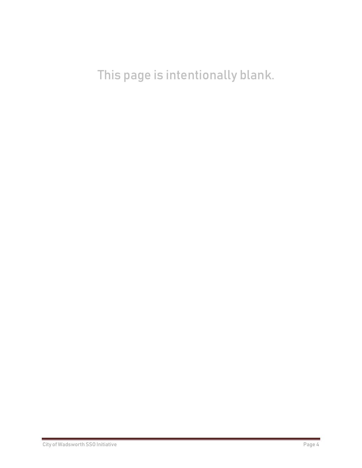This page is intentionally blank.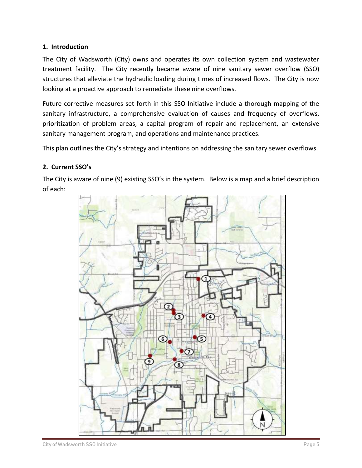#### **1. Introduction**

The City of Wadsworth (City) owns and operates its own collection system and wastewater treatment facility. The City recently became aware of nine sanitary sewer overflow (SSO) structures that alleviate the hydraulic loading during times of increased flows. The City is now looking at a proactive approach to remediate these nine overflows.

Future corrective measures set forth in this SSO Initiative include a thorough mapping of the sanitary infrastructure, a comprehensive evaluation of causes and frequency of overflows, prioritization of problem areas, a capital program of repair and replacement, an extensive sanitary management program, and operations and maintenance practices.

This plan outlines the City's strategy and intentions on addressing the sanitary sewer overflows.

#### **2. Current SSO's**

The City is aware of nine (9) existing SSO's in the system. Below is a map and a brief description of each:

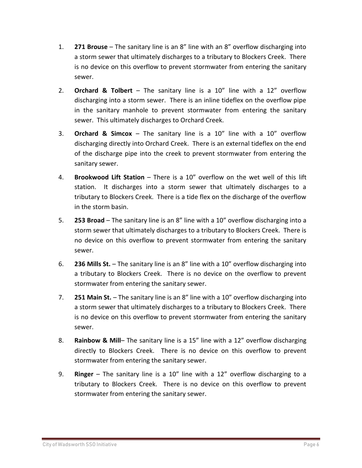- 1. **271 Brouse** The sanitary line is an 8" line with an 8" overflow discharging into a storm sewer that ultimately discharges to a tributary to Blockers Creek. There is no device on this overflow to prevent stormwater from entering the sanitary sewer.
- 2. **Orchard & Tolbert** The sanitary line is a 10" line with a 12" overflow discharging into a storm sewer. There is an inline tideflex on the overflow pipe in the sanitary manhole to prevent stormwater from entering the sanitary sewer. This ultimately discharges to Orchard Creek.
- 3. **Orchard & Simcox** The sanitary line is a 10" line with a 10" overflow discharging directly into Orchard Creek. There is an external tideflex on the end of the discharge pipe into the creek to prevent stormwater from entering the sanitary sewer.
- 4. **Brookwood Lift Station** There is a 10" overflow on the wet well of this lift station. It discharges into a storm sewer that ultimately discharges to a tributary to Blockers Creek. There is a tide flex on the discharge of the overflow in the storm basin.
- 5. **253 Broad** The sanitary line is an 8" line with a 10" overflow discharging into a storm sewer that ultimately discharges to a tributary to Blockers Creek. There is no device on this overflow to prevent stormwater from entering the sanitary sewer.
- 6. **236 Mills St.** The sanitary line is an 8" line with a 10" overflow discharging into a tributary to Blockers Creek. There is no device on the overflow to prevent stormwater from entering the sanitary sewer.
- 7. **251 Main St.** The sanitary line is an 8" line with a 10" overflow discharging into a storm sewer that ultimately discharges to a tributary to Blockers Creek. There is no device on this overflow to prevent stormwater from entering the sanitary sewer.
- 8. **Rainbow & Mill** The sanitary line is a 15" line with a 12" overflow discharging directly to Blockers Creek. There is no device on this overflow to prevent stormwater from entering the sanitary sewer.
- 9. **Ringer** The sanitary line is a 10" line with a 12" overflow discharging to a tributary to Blockers Creek. There is no device on this overflow to prevent stormwater from entering the sanitary sewer.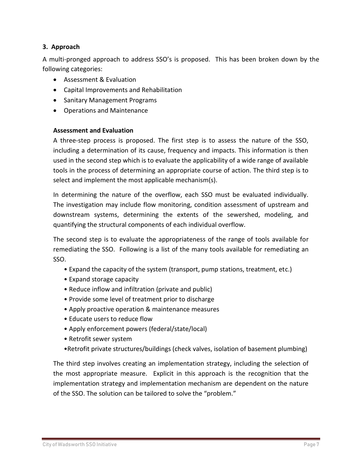#### **3. Approach**

A multi-pronged approach to address SSO's is proposed. This has been broken down by the following categories:

- Assessment & Evaluation
- Capital Improvements and Rehabilitation
- Sanitary Management Programs
- Operations and Maintenance

#### **Assessment and Evaluation**

A three-step process is proposed. The first step is to assess the nature of the SSO, including a determination of its cause, frequency and impacts. This information is then used in the second step which is to evaluate the applicability of a wide range of available tools in the process of determining an appropriate course of action. The third step is to select and implement the most applicable mechanism(s).

In determining the nature of the overflow, each SSO must be evaluated individually. The investigation may include flow monitoring, condition assessment of upstream and downstream systems, determining the extents of the sewershed, modeling, and quantifying the structural components of each individual overflow.

The second step is to evaluate the appropriateness of the range of tools available for remediating the SSO. Following is a list of the many tools available for remediating an SSO.

- Expand the capacity of the system (transport, pump stations, treatment, etc.)
- Expand storage capacity
- Reduce inflow and infiltration (private and public)
- Provide some level of treatment prior to discharge
- Apply proactive operation & maintenance measures
- Educate users to reduce flow
- Apply enforcement powers (federal/state/local)
- Retrofit sewer system
- •Retrofit private structures/buildings (check valves, isolation of basement plumbing)

The third step involves creating an implementation strategy, including the selection of the most appropriate measure. Explicit in this approach is the recognition that the implementation strategy and implementation mechanism are dependent on the nature of the SSO. The solution can be tailored to solve the "problem."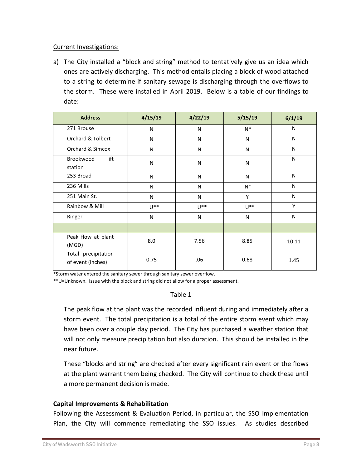#### Current Investigations:

a) The City installed a "block and string" method to tentatively give us an idea which ones are actively discharging. This method entails placing a block of wood attached to a string to determine if sanitary sewage is discharging through the overflows to the storm. These were installed in April 2019. Below is a table of our findings to date:

| <b>Address</b>                           | 4/15/19  | 4/22/19      | 5/15/19  | 6/1/19       |
|------------------------------------------|----------|--------------|----------|--------------|
| 271 Brouse                               | N        | $\mathsf{N}$ | $N^*$    | N            |
| <b>Orchard &amp; Tolbert</b>             | N        | N            | N        | $\mathsf{N}$ |
| Orchard & Simcox                         | N        | $\mathsf{N}$ | N        | $\mathsf{N}$ |
| lift<br>Brookwood<br>station             | N        | $\mathsf{N}$ | N        | $\mathsf{N}$ |
| 253 Broad                                | N        | N            | N        | $\mathsf{N}$ |
| 236 Mills                                | N        | N            | $N^*$    | N            |
| 251 Main St.                             | N        | N            | Y        | $\mathsf{N}$ |
| Rainbow & Mill                           | $U^{**}$ | $U^{**}$     | $U^{**}$ | Y            |
| Ringer                                   | N        | $\mathsf{N}$ | N        | $\mathsf{N}$ |
|                                          |          |              |          |              |
| Peak flow at plant<br>(MGD)              | 8.0      | 7.56         | 8.85     | 10.11        |
| Total precipitation<br>of event (inches) | 0.75     | .06          | 0.68     | 1.45         |

\*Storm water entered the sanitary sewer through sanitary sewer overflow.

\*\*U=Unknown. Issue with the block and string did not allow for a proper assessment.

#### Table 1

The peak flow at the plant was the recorded influent during and immediately after a storm event. The total precipitation is a total of the entire storm event which may have been over a couple day period. The City has purchased a weather station that will not only measure precipitation but also duration. This should be installed in the near future.

These "blocks and string" are checked after every significant rain event or the flows at the plant warrant them being checked. The City will continue to check these until a more permanent decision is made.

#### **Capital Improvements & Rehabilitation**

Following the Assessment & Evaluation Period, in particular, the SSO Implementation Plan, the City will commence remediating the SSO issues. As studies described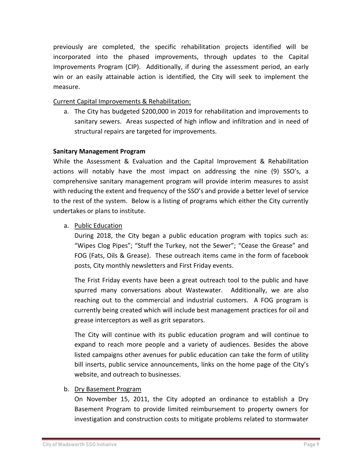previously are completed, the specific rehabilitation projects identified will be incorporated into the phased improvements, through updates to the Capital Improvements Program (CIP). Additionally, if during the assessment period, an early win or an easily attainable action is identified, the City will seek to implement the measure.

#### Current Capital Improvements & Rehabilitation:

a. The City has budgeted \$200,000 in 2019 for rehabilitation and improvements to sanitary sewers. Areas suspected of high inflow and infiltration and in need of structural repairs are targeted for improvements.

#### **Sanitary Management Program**

While the Assessment & Evaluation and the Capital Improvement & Rehabilitation actions will notably have the most impact on addressing the nine (9) SSO's, a comprehensive sanitary management program will provide interim measures to assist with reducing the extent and frequency of the SSO's and provide a better level of service to the rest of the system. Below is a listing of programs which either the City currently undertakes or plans to institute.

#### a. Public Education

During 2018, the City began a public education program with topics such as: "Wipes Clog Pipes"; "Stuff the Turkey, not the Sewer"; "Cease the Grease" and FOG (Fats, Oils & Grease). These outreach items came in the form of facebook posts, City monthly newsletters and First Friday events.

The Frist Friday events have been a great outreach tool to the public and have spurred many conversations about Wastewater. Additionally, we are also reaching out to the commercial and industrial customers. A FOG program is currently being created which will include best management practices for oil and grease interceptors as well as grit separators.

The City will continue with its public education program and will continue to expand to reach more people and a variety of audiences. Besides the above listed campaigns other avenues for public education can take the form of utility bill inserts, public service announcements, links on the home page of the City's website, and outreach to businesses.

#### b. Dry Basement Program

On November 15, 2011, the City adopted an ordinance to establish a Dry Basement Program to provide limited reimbursement to property owners for investigation and construction costs to mitigate problems related to stormwater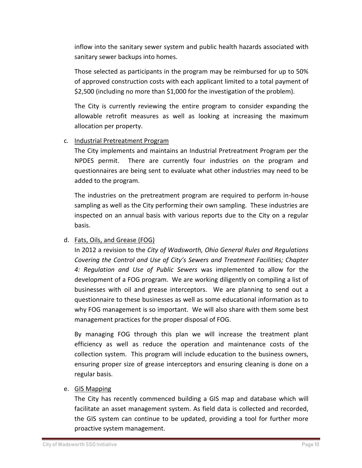inflow into the sanitary sewer system and public health hazards associated with sanitary sewer backups into homes.

Those selected as participants in the program may be reimbursed for up to 50% of approved construction costs with each applicant limited to a total payment of \$2,500 (including no more than \$1,000 for the investigation of the problem).

The City is currently reviewing the entire program to consider expanding the allowable retrofit measures as well as looking at increasing the maximum allocation per property.

#### c. Industrial Pretreatment Program

The City implements and maintains an Industrial Pretreatment Program per the NPDES permit. There are currently four industries on the program and questionnaires are being sent to evaluate what other industries may need to be added to the program.

The industries on the pretreatment program are required to perform in-house sampling as well as the City performing their own sampling. These industries are inspected on an annual basis with various reports due to the City on a regular basis.

#### d. Fats, Oils, and Grease (FOG)

In 2012 a revision to the *City of Wadsworth, Ohio General Rules and Regulations Covering the Control and Use of City's Sewers and Treatment Facilities; Chapter 4: Regulation and Use of Public Sewers* was implemented to allow for the development of a FOG program. We are working diligently on compiling a list of businesses with oil and grease interceptors. We are planning to send out a questionnaire to these businesses as well as some educational information as to why FOG management is so important. We will also share with them some best management practices for the proper disposal of FOG.

By managing FOG through this plan we will increase the treatment plant efficiency as well as reduce the operation and maintenance costs of the collection system. This program will include education to the business owners, ensuring proper size of grease interceptors and ensuring cleaning is done on a regular basis.

#### e. GIS Mapping

The City has recently commenced building a GIS map and database which will facilitate an asset management system. As field data is collected and recorded, the GIS system can continue to be updated, providing a tool for further more proactive system management.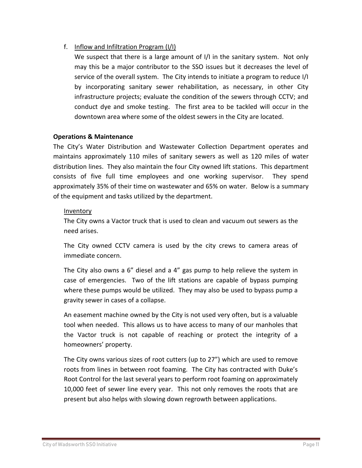#### f. Inflow and Infiltration Program (I/I)

We suspect that there is a large amount of I/I in the sanitary system. Not only may this be a major contributor to the SSO issues but it decreases the level of service of the overall system. The City intends to initiate a program to reduce I/I by incorporating sanitary sewer rehabilitation, as necessary, in other City infrastructure projects; evaluate the condition of the sewers through CCTV; and conduct dye and smoke testing. The first area to be tackled will occur in the downtown area where some of the oldest sewers in the City are located.

#### **Operations & Maintenance**

The City's Water Distribution and Wastewater Collection Department operates and maintains approximately 110 miles of sanitary sewers as well as 120 miles of water distribution lines. They also maintain the four City owned lift stations. This department consists of five full time employees and one working supervisor. They spend approximately 35% of their time on wastewater and 65% on water. Below is a summary of the equipment and tasks utilized by the department.

#### Inventory

The City owns a Vactor truck that is used to clean and vacuum out sewers as the need arises.

The City owned CCTV camera is used by the city crews to camera areas of immediate concern.

The City also owns a 6" diesel and a 4" gas pump to help relieve the system in case of emergencies. Two of the lift stations are capable of bypass pumping where these pumps would be utilized. They may also be used to bypass pump a gravity sewer in cases of a collapse.

An easement machine owned by the City is not used very often, but is a valuable tool when needed. This allows us to have access to many of our manholes that the Vactor truck is not capable of reaching or protect the integrity of a homeowners' property.

The City owns various sizes of root cutters (up to 27") which are used to remove roots from lines in between root foaming. The City has contracted with Duke's Root Control for the last several years to perform root foaming on approximately 10,000 feet of sewer line every year. This not only removes the roots that are present but also helps with slowing down regrowth between applications.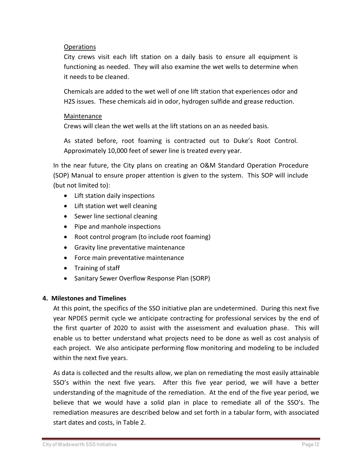#### Operations

City crews visit each lift station on a daily basis to ensure all equipment is functioning as needed. They will also examine the wet wells to determine when it needs to be cleaned.

Chemicals are added to the wet well of one lift station that experiences odor and H2S issues. These chemicals aid in odor, hydrogen sulfide and grease reduction.

#### Maintenance

Crews will clean the wet wells at the lift stations on an as needed basis.

As stated before, root foaming is contracted out to Duke's Root Control. Approximately 10,000 feet of sewer line is treated every year.

In the near future, the City plans on creating an O&M Standard Operation Procedure (SOP) Manual to ensure proper attention is given to the system. This SOP will include (but not limited to):

- Lift station daily inspections
- Lift station wet well cleaning
- Sewer line sectional cleaning
- Pipe and manhole inspections
- Root control program (to include root foaming)
- Gravity line preventative maintenance
- Force main preventative maintenance
- Training of staff
- Sanitary Sewer Overflow Response Plan (SORP)

#### **4. Milestones and Timelines**

At this point, the specifics of the SSO initiative plan are undetermined. During this next five year NPDES permit cycle we anticipate contracting for professional services by the end of the first quarter of 2020 to assist with the assessment and evaluation phase. This will enable us to better understand what projects need to be done as well as cost analysis of each project. We also anticipate performing flow monitoring and modeling to be included within the next five years.

As data is collected and the results allow, we plan on remediating the most easily attainable SSO's within the next five years. After this five year period, we will have a better understanding of the magnitude of the remediation. At the end of the five year period, we believe that we would have a solid plan in place to remediate all of the SSO's. The remediation measures are described below and set forth in a tabular form, with associated start dates and costs, in Table 2.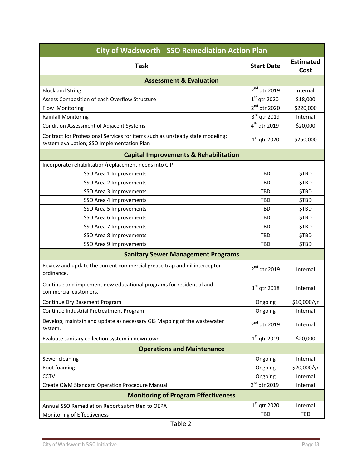| <b>City of Wadsworth - SSO Remediation Action Plan</b>                                                                      |                          |                          |  |  |  |
|-----------------------------------------------------------------------------------------------------------------------------|--------------------------|--------------------------|--|--|--|
| <b>Task</b>                                                                                                                 | <b>Start Date</b>        | <b>Estimated</b><br>Cost |  |  |  |
| <b>Assessment &amp; Evaluation</b>                                                                                          |                          |                          |  |  |  |
| <b>Block and String</b>                                                                                                     | $2nd$ qtr 2019           | Internal                 |  |  |  |
| Assess Composition of each Overflow Structure                                                                               | $1^\text{st}$ qtr 2020   | \$18,000                 |  |  |  |
| Flow Monitoring                                                                                                             | $2nd$ qtr 2020           | \$220,000                |  |  |  |
| <b>Rainfall Monitoring</b>                                                                                                  | $3rd$ qtr 2019           | Internal                 |  |  |  |
| <b>Condition Assessment of Adjacent Systems</b>                                                                             | 4 <sup>th</sup> qtr 2019 | \$20,000                 |  |  |  |
| Contract for Professional Services for items such as unsteady state modeling;<br>system evaluation; SSO Implementation Plan | $1st$ qtr 2020           | \$250,000                |  |  |  |
| <b>Capital Improvements &amp; Rehabilitation</b>                                                                            |                          |                          |  |  |  |
| Incorporate rehabilitation/replacement needs into CIP                                                                       |                          |                          |  |  |  |
| SSO Area 1 Improvements                                                                                                     | <b>TBD</b>               | \$TBD                    |  |  |  |
| SSO Area 2 Improvements                                                                                                     | TBD                      | \$TBD                    |  |  |  |
| SSO Area 3 Improvements                                                                                                     | TBD                      | \$TBD                    |  |  |  |
| SSO Area 4 Improvements                                                                                                     | TBD                      | <b>\$TBD</b>             |  |  |  |
| SSO Area 5 Improvements                                                                                                     | TBD                      | \$TBD                    |  |  |  |
| SSO Area 6 Improvements                                                                                                     | TBD                      | \$TBD                    |  |  |  |
| SSO Area 7 Improvements                                                                                                     | TBD                      | \$TBD                    |  |  |  |
| SSO Area 8 Improvements                                                                                                     | <b>TBD</b>               | \$TBD                    |  |  |  |
| SSO Area 9 Improvements                                                                                                     | TBD                      | <b>STBD</b>              |  |  |  |
| <b>Sanitary Sewer Management Programs</b>                                                                                   |                          |                          |  |  |  |
| Review and update the current commercial grease trap and oil interceptor<br>ordinance.                                      | $2nd$ qtr 2019           | Internal                 |  |  |  |
| Continue and implement new educational programs for residential and<br>commercial customers.                                | $3^{\text{rd}}$ qtr 2018 | Internal                 |  |  |  |
| Continue Dry Basement Program                                                                                               | Ongoing                  | \$10,000/yr              |  |  |  |
| Continue Industrial Pretreatment Program                                                                                    | Ongoing                  | Internal                 |  |  |  |
| Develop, maintain and update as necessary GIS Mapping of the wastewater<br>system.                                          | $2nd$ qtr 2019           | Internal                 |  |  |  |
| Evaluate sanitary collection system in downtown                                                                             | $1st$ qtr 2019           | \$20,000                 |  |  |  |
| <b>Operations and Maintenance</b>                                                                                           |                          |                          |  |  |  |
| Sewer cleaning                                                                                                              | Ongoing                  | Internal                 |  |  |  |
| Root foaming                                                                                                                | Ongoing                  | \$20,000/yr              |  |  |  |
| <b>CCTV</b>                                                                                                                 | Ongoing                  | Internal                 |  |  |  |
| Create O&M Standard Operation Procedure Manual                                                                              | 3rd qtr 2019             | Internal                 |  |  |  |
| <b>Monitoring of Program Effectiveness</b>                                                                                  |                          |                          |  |  |  |
| Annual SSO Remediation Report submitted to OEPA                                                                             | $1st$ qtr 2020           | Internal                 |  |  |  |
| Monitoring of Effectiveness                                                                                                 | TBD                      | TBD                      |  |  |  |